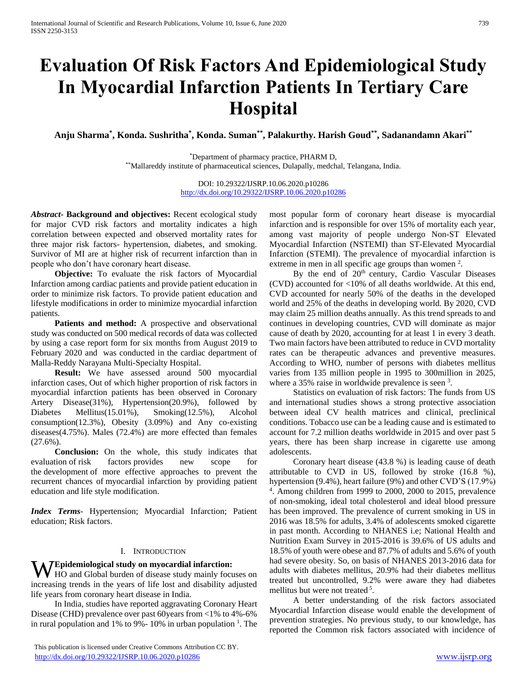# **Evaluation Of Risk Factors And Epidemiological Study In Myocardial Infarction Patients In Tertiary Care Hospital**

**Anju Sharma\* , Konda. Sushritha\* , Konda. Suman\*\*, Palakurthy. Harish Goud\*\*, Sadanandamn Akari\*\***

\*Department of pharmacy practice, PHARM D, \*\*Mallareddy institute of pharmaceutical sciences, Dulapally, medchal, Telangana, India.

> DOI: 10.29322/IJSRP.10.06.2020.p10286 <http://dx.doi.org/10.29322/IJSRP.10.06.2020.p10286>

*Abstract***- Background and objectives:** Recent ecological study for major CVD risk factors and mortality indicates a high correlation between expected and observed mortality rates for three major risk factors- hypertension, diabetes, and smoking. Survivor of MI are at higher risk of recurrent infarction than in people who don't have coronary heart disease.

 **Objective:** To evaluate the risk factors of Myocardial Infarction among cardiac patients and provide patient education in order to minimize risk factors. To provide patient education and lifestyle modifications in order to minimize myocardial infarction patients.

Patients and method: A prospective and observational study was conducted on 500 medical records of data was collected by using a case report form for six months from August 2019 to February 2020 and was conducted in the cardiac department of Malla-Reddy Narayana Multi-Specialty Hospital.

 **Result:** We have assessed around 500 myocardial infarction cases, Out of which higher proportion of risk factors in myocardial infarction patients has been observed in Coronary Artery Disease(31%), Hypertension(20.9%), followed by Diabetes Mellitus(15.01%), Smoking(12.5%), Alcohol consumption(12.3%), Obesity (3.09%) and Any co-existing diseases(4.75%). Males (72.4%) are more effected than females  $(27.6\%)$ .

 **Conclusion:** On the whole, this study indicates that evaluation of risk factors provides new scope for the development of more effective approaches to prevent the recurrent chances of myocardial infarction by providing patient education and life style modification.

*Index Terms*- Hypertension; Myocardial Infarction; Patient education; Risk factors.

#### I. INTRODUCTION

#### **Epidemiological study on myocardial infarction:**

**W** Epidemiological study on myocardial infarction:<br>HO and Global burden of disease study mainly focuses on increasing trends in the years of life lost and disability adjusted life years from coronary heart disease in India.

 In India, studies have reported aggravating Coronary Heart Disease (CHD) prevalence over past 60years from <1% to 4%-6% in rural population and 1% to 9% - 10% in urban population  $<sup>1</sup>$ . The</sup> most popular form of coronary heart disease is myocardial infarction and is responsible for over 15% of mortality each year, among vast majority of people undergo Non-ST Elevated Myocardial Infarction (NSTEMI) than ST-Elevated Myocardial Infarction (STEMI). The prevalence of myocardial infarction is extreme in men in all specific age groups than women  $2$ .

By the end of 20<sup>th</sup> century, Cardio Vascular Diseases (CVD) accounted for <10% of all deaths worldwide. At this end, CVD accounted for nearly 50% of the deaths in the developed world and 25% of the deaths in developing world. By 2020, CVD may claim 25 million deaths annually. As this trend spreads to and continues in developing countries, CVD will dominate as major cause of death by 2020, accounting for at least 1 in every 3 death. Two main factors have been attributed to reduce in CVD mortality rates can be therapeutic advances and preventive measures. According to WHO, number of persons with diabetes mellitus varies from 135 million people in 1995 to 300million in 2025, where a 35% raise in worldwide prevalence is seen  $3$ .

 Statistics on evaluation of risk factors: The funds from US and international studies shows a strong protective association between ideal CV health matrices and clinical, preclinical conditions. Tobacco use can be a leading cause and is estimated to account for 7.2 million deaths worldwide in 2015 and over past 5 years, there has been sharp increase in cigarette use among adolescents.

 Coronary heart disease (43.8 %) is leading cause of death attributable to CVD in US, followed by stroke (16.8 %), hypertension (9.4%), heart failure (9%) and other CVD'S (17.9%) 4 . Among children from 1999 to 2000, 2000 to 2015, prevalence of non-smoking, ideal total cholesterol and ideal blood pressure has been improved. The prevalence of current smoking in US in 2016 was 18.5% for adults, 3.4% of adolescents smoked cigarette in past month. According to NHANES i.e; National Health and Nutrition Exam Survey in 2015-2016 is 39.6% of US adults and 18.5% of youth were obese and 87.7% of adults and 5.6% of youth had severe obesity. So, on basis of NHANES 2013-2016 data for adults with diabetes mellitus, 20.9% had their diabetes mellitus treated but uncontrolled, 9.2% were aware they had diabetes mellitus but were not treated<sup>5</sup>.

 A better understanding of the risk factors associated Myocardial Infarction disease would enable the development of prevention strategies. No previous study, to our knowledge, has reported the Common risk factors associated with incidence of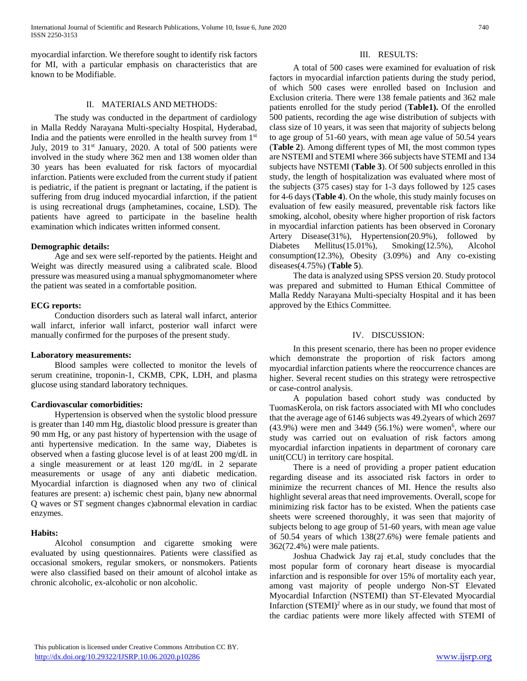myocardial infarction. We therefore sought to identify risk factors for MI, with a particular emphasis on characteristics that are known to be Modifiable.

#### II. MATERIALS AND METHODS:

 The study was conducted in the department of cardiology in Malla Reddy Narayana Multi-specialty Hospital, Hyderabad, India and the patients were enrolled in the health survey from 1st July,  $2019$  to  $31<sup>st</sup>$  January,  $2020$ . A total of 500 patients were involved in the study where 362 men and 138 women older than 30 years has been evaluated for risk factors of myocardial infarction. Patients were excluded from the current study if patient is pediatric, if the patient is pregnant or lactating, if the patient is suffering from drug induced myocardial infarction, if the patient is using recreational drugs (amphetamines, cocaine, LSD). The patients have agreed to participate in the baseline health examination which indicates written informed consent.

#### **Demographic details:**

 Age and sex were self-reported by the patients. Height and Weight was directly measured using a calibrated scale. Blood pressure was measured using a manual sphygmomanometer where the patient was seated in a comfortable position.

#### **ECG reports:**

 Conduction disorders such as lateral wall infarct, anterior wall infarct, inferior wall infarct, posterior wall infarct were manually confirmed for the purposes of the present study.

#### **Laboratory measurements:**

 Blood samples were collected to monitor the levels of serum creatinine, troponin-1, CKMB, CPK, LDH, and plasma glucose using standard laboratory techniques.

#### **Cardiovascular comorbidities:**

 Hypertension is observed when the systolic blood pressure is greater than 140 mm Hg, diastolic blood pressure is greater than 90 mm Hg, or any past history of hypertension with the usage of anti hypertensive medication. In the same way, Diabetes is observed when a fasting glucose level is of at least 200 mg/dL in a single measurement or at least 120 mg/dL in 2 separate measurements or usage of any anti diabetic medication. Myocardial infarction is diagnosed when any two of clinical features are present: a) ischemic chest pain, b)any new abnormal Q waves or ST segment changes c)abnormal elevation in cardiac enzymes.

#### **Habits:**

 Alcohol consumption and cigarette smoking were evaluated by using questionnaires. Patients were classified as occasional smokers, regular smokers, or nonsmokers. Patients were also classified based on their amount of alcohol intake as chronic alcoholic, ex-alcoholic or non alcoholic.

#### III. RESULTS:

 A total of 500 cases were examined for evaluation of risk factors in myocardial infarction patients during the study period, of which 500 cases were enrolled based on Inclusion and Exclusion criteria. There were 138 female patients and 362 male patients enrolled for the study period (**Table1).** Of the enrolled 500 patients, recording the age wise distribution of subjects with class size of 10 years, it was seen that majority of subjects belong to age group of 51-60 years, with mean age value of 50.54 years (**Table 2**). Among different types of MI, the most common types are NSTEMI and STEMI where 366 subjects have STEMI and 134 subjects have NSTEMI (**Table 3**). Of 500 subjects enrolled in this study, the length of hospitalization was evaluated where most of the subjects (375 cases) stay for 1-3 days followed by 125 cases for 4-6 days (**Table 4**). On the whole, this study mainly focuses on evaluation of few easily measured, preventable risk factors like smoking, alcohol, obesity where higher proportion of risk factors in myocardial infarction patients has been observed in Coronary Artery Disease(31%), Hypertension(20.9%), followed by Diabetes Mellitus(15.01%), Smoking(12.5%), Alcohol consumption(12.3%), Obesity (3.09%) and Any co-existing diseases(4.75%) (**Table 5**).

 The data is analyzed using SPSS version 20. Study protocol was prepared and submitted to Human Ethical Committee of Malla Reddy Narayana Multi-specialty Hospital and it has been approved by the Ethics Committee.

#### IV. DISCUSSION:

 In this present scenario, there has been no proper evidence which demonstrate the proportion of risk factors among myocardial infarction patients where the reoccurrence chances are higher. Several recent studies on this strategy were retrospective or case-control analysis.

 A population based cohort study was conducted by TuomasKerola, on risk factors associated with MI who concludes that the average age of 6146 subjects was 49.2years of which 2697  $(43.9%)$  were men and 3449 (56.1%) were women<sup>6</sup>, where our study was carried out on evaluation of risk factors among myocardial infarction inpatients in department of coronary care unit(CCU) in territory care hospital.

 There is a need of providing a proper patient education regarding disease and its associated risk factors in order to minimize the recurrent chances of MI. Hence the results also highlight several areas that need improvements. Overall, scope for minimizing risk factor has to be existed. When the patients case sheets were screened thoroughly, it was seen that majority of subjects belong to age group of 51-60 years, with mean age value of 50.54 years of which 138(27.6%) were female patients and 362(72.4%) were male patients.

 Joshua Chadwick Jay raj et.al, study concludes that the most popular form of coronary heart disease is myocardial infarction and is responsible for over 15% of mortality each year, among vast majority of people undergo Non-ST Elevated Myocardial Infarction (NSTEMI) than ST-Elevated Myocardial Infarction (STEMI)<sup>2</sup> where as in our study, we found that most of the cardiac patients were more likely affected with STEMI of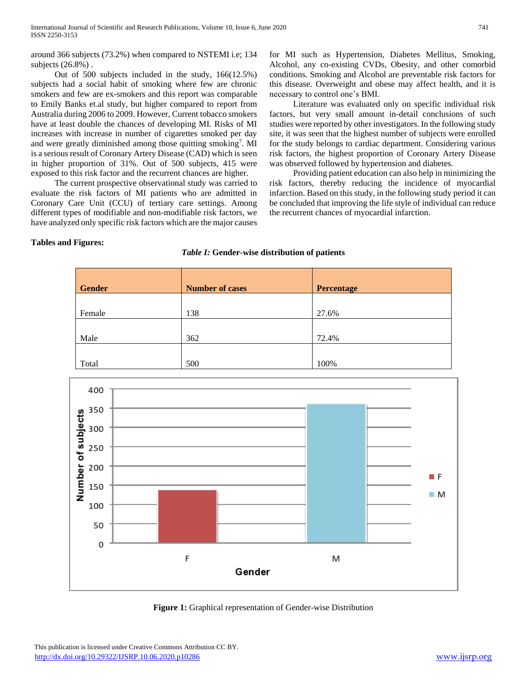around 366 subjects (73.2%) when compared to NSTEMI i.e; 134 subjects (26.8%) .

 Out of 500 subjects included in the study, 166(12.5%) subjects had a social habit of smoking where few are chronic smokers and few are ex-smokers and this report was comparable to Emily Banks et.al study, but higher compared to report from Australia during 2006 to 2009. However, Current tobacco smokers have at least double the chances of developing MI. Risks of MI increases with increase in number of cigarettes smoked per day and were greatly diminished among those quitting smoking<sup>7</sup>. MI is a serious result of Coronary Artery Disease (CAD) which is seen in higher proportion of 31%. Out of 500 subjects, 415 were exposed to this risk factor and the recurrent chances are higher.

 The current prospective observational study was carried to evaluate the risk factors of MI patients who are admitted in Coronary Care Unit (CCU) of tertiary care settings. Among different types of modifiable and non-modifiable risk factors, we have analyzed only specific risk factors which are the major causes

for MI such as Hypertension, Diabetes Mellitus, Smoking, Alcohol, any co-existing CVDs, Obesity, and other comorbid conditions. Smoking and Alcohol are preventable risk factors for this disease. Overweight and obese may affect health, and it is necessary to control one's BMI.

 Literature was evaluated only on specific individual risk factors, but very small amount in-detail conclusions of such studies were reported by other investigators. In the following study site, it was seen that the highest number of subjects were enrolled for the study belongs to cardiac department. Considering various risk factors, the highest proportion of Coronary Artery Disease was observed followed by hypertension and diabetes.

 Providing patient education can also help in minimizing the risk factors, thereby reducing the incidence of myocardial infarction. Based on this study, in the following study period it can be concluded that improving the life style of individual can reduce the recurrent chances of myocardial infarction.

#### **Tables and Figures:**

### *Table I:* **Gender-wise distribution of patients**

| <b>Gender</b> | <b>Number of cases</b> | Percentage |
|---------------|------------------------|------------|
| Female        | 138                    | 27.6%      |
|               |                        |            |
| Male          | 362                    | 72.4%      |
| Total         | 500                    | 100%       |



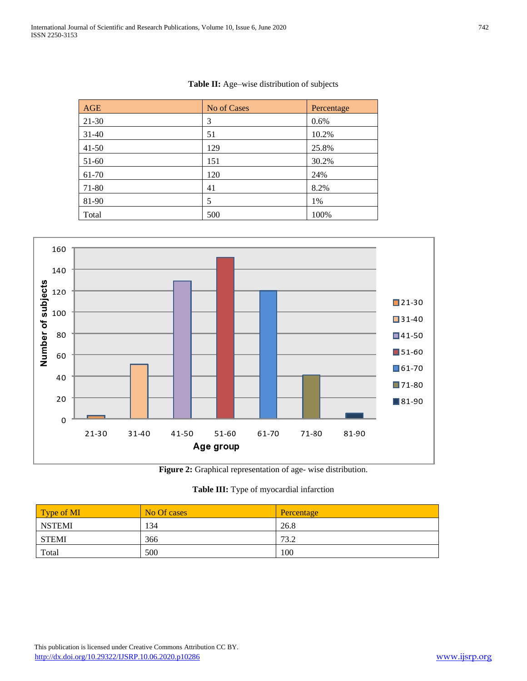|  |  | <b>Table II:</b> Age–wise distribution of subjects |  |
|--|--|----------------------------------------------------|--|
|--|--|----------------------------------------------------|--|

| AGE       | No of Cases | Percentage |
|-----------|-------------|------------|
| 21-30     | 3           | 0.6%       |
| $31-40$   | 51          | 10.2%      |
| $41 - 50$ | 129         | 25.8%      |
| 51-60     | 151         | 30.2%      |
| 61-70     | 120         | 24%        |
| 71-80     | 41          | 8.2%       |
| 81-90     | 5           | 1%         |
| Total     | 500         | 100%       |



**Figure 2:** Graphical representation of age- wise distribution.

# **Table III:** Type of myocardial infarction

| Type of MI    | No Of cases | Percentage |
|---------------|-------------|------------|
| <b>NSTEMI</b> | 134         | 26.8       |
| <b>STEMI</b>  | 366         | 73.2       |
| Total         | 500         | 100        |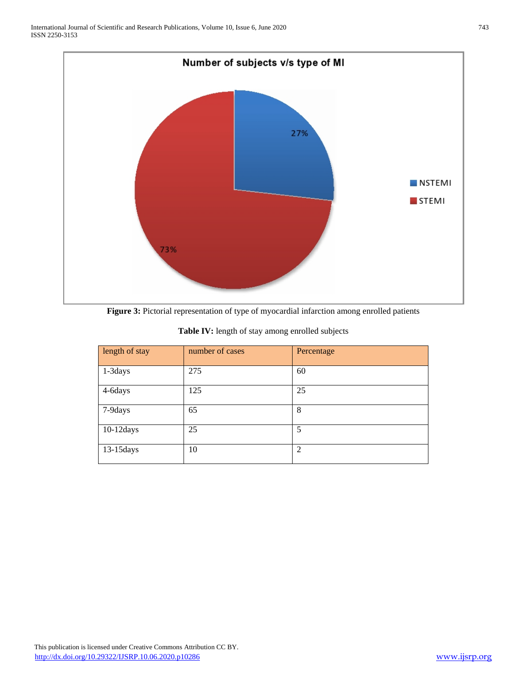

**Figure 3:** Pictorial representation of type of myocardial infarction among enrolled patients

| length of stay | number of cases | Percentage     |
|----------------|-----------------|----------------|
| 1-3days        | 275             | 60             |
| 4-6days        | 125             | 25             |
| 7-9days        | 65              | 8              |
| $10-12$ days   | 25              | 5              |
| 13-15 days     | 10              | $\overline{2}$ |

**Table IV:** length of stay among enrolled subjects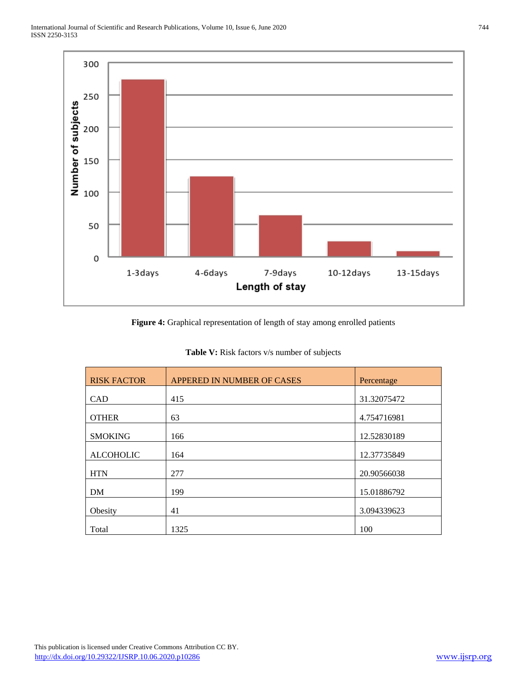

**Figure 4:** Graphical representation of length of stay among enrolled patients

| <b>RISK FACTOR</b> | <b>APPERED IN NUMBER OF CASES</b> | Percentage  |
|--------------------|-----------------------------------|-------------|
| CAD                | 415                               | 31.32075472 |
| <b>OTHER</b>       | 63                                | 4.754716981 |
| <b>SMOKING</b>     | 166                               | 12.52830189 |
| <b>ALCOHOLIC</b>   | 164                               | 12.37735849 |
| <b>HTN</b>         | 277                               | 20.90566038 |
| DM                 | 199                               | 15.01886792 |
| Obesity            | 41                                | 3.094339623 |
| Total              | 1325                              | 100         |

**Table V:** Risk factors v/s number of subjects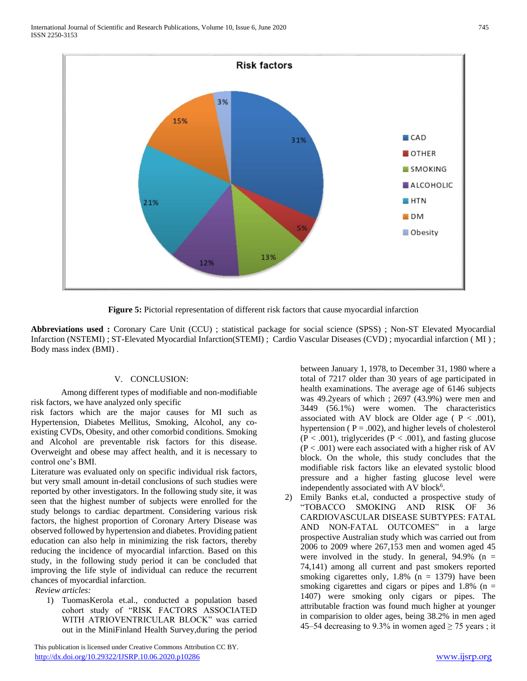

**Figure 5:** Pictorial representation of different risk factors that cause myocardial infarction

**Abbreviations used :** Coronary Care Unit (CCU) ; statistical package for social science (SPSS) ; Non-ST Elevated Myocardial Infarction (NSTEMI) ; ST-Elevated Myocardial Infarction(STEMI) ; Cardio Vascular Diseases (CVD) ; myocardial infarction ( MI ) ; Body mass index (BMI) .

## V. CONCLUSION:

 Among different types of modifiable and non-modifiable risk factors, we have analyzed only specific

risk factors which are the major causes for MI such as Hypertension, Diabetes Mellitus, Smoking, Alcohol, any coexisting CVDs, Obesity, and other comorbid conditions. Smoking and Alcohol are preventable risk factors for this disease. Overweight and obese may affect health, and it is necessary to control one's BMI.

Literature was evaluated only on specific individual risk factors, but very small amount in-detail conclusions of such studies were reported by other investigators. In the following study site, it was seen that the highest number of subjects were enrolled for the study belongs to cardiac department. Considering various risk factors, the highest proportion of Coronary Artery Disease was observed followed by hypertension and diabetes. Providing patient education can also help in minimizing the risk factors, thereby reducing the incidence of myocardial infarction. Based on this study, in the following study period it can be concluded that improving the life style of individual can reduce the recurrent chances of myocardial infarction.

*Review articles:*

1) TuomasKerola et.al., conducted a population based cohort study of "RISK FACTORS ASSOCIATED WITH ATRIOVENTRICULAR BLOCK" was carried out in the MiniFinland Health Survey,during the period

 This publication is licensed under Creative Commons Attribution CC BY. <http://dx.doi.org/10.29322/IJSRP.10.06.2020.p10286> [www.ijsrp.org](http://ijsrp.org/)

between January 1, 1978, to December 31, 1980 where a total of 7217 older than 30 years of age participated in health examinations. The average age of 6146 subjects was 49.2years of which ; 2697 (43.9%) were men and 3449 (56.1%) were women. The characteristics associated with AV block are Older age ( $P < .001$ ), hypertension ( $P = .002$ ), and higher levels of cholesterol  $(P < .001)$ , triglycerides  $(P < .001)$ , and fasting glucose  $(P < .001)$  were each associated with a higher risk of AV block. On the whole, this study concludes that the modifiable risk factors like an elevated systolic blood pressure and a higher fasting glucose level were independently associated with AV block<sup>6</sup>.

2) Emily Banks et.al, conducted a prospective study of "TOBACCO SMOKING AND RISK OF 36 CARDIOVASCULAR DISEASE SUBTYPES: FATAL AND NON-FATAL OUTCOMES" in a large prospective Australian study which was carried out from 2006 to 2009 where 267,153 men and women aged 45 were involved in the study. In general,  $94.9\%$  (n = 74,141) among all current and past smokers reported smoking cigarettes only,  $1.8\%$  (n = 1379) have been smoking cigarettes and cigars or pipes and  $1.8\%$  (n = 1407) were smoking only cigars or pipes. The attributable fraction was found much higher at younger in comparision to older ages, being 38.2% in men aged 45–54 decreasing to 9.3% in women aged  $\geq$  75 years ; it